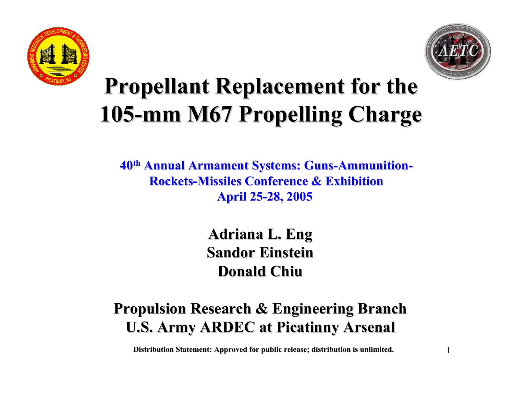



1

### **Propellant Replacement for the Propellant Replacement for the 105 -mm M67 Propelling Charge mm M67 Propelling Charge**

**40th Annual Armament Systems: Guns Annual Armament Systems: Guns -Ammunition Ammunition - Rockets Rockets-Missiles Conference & Exhibition Missiles Conference & ExhibitionApril 25 April 25 -28, 2005 28, 2005** 

> **Adriana L. Eng Adriana L. Eng Sandor Einstein Sandor EinsteinDonald Chiu Donald Chiu**

#### **Propulsion Research & Engineering Branch Propulsion Research & Engineering Branch U.S. Army ARDEC at Picatinny Arsenal**

**Distribution Statement: Approved for public release; distribution is unlimited.**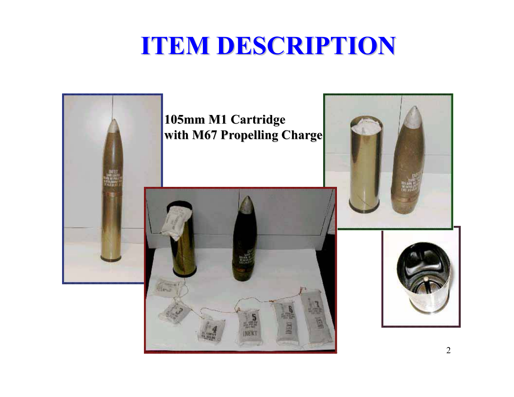### **ITEM DESCRIPTION ITEM DESCRIPTION**

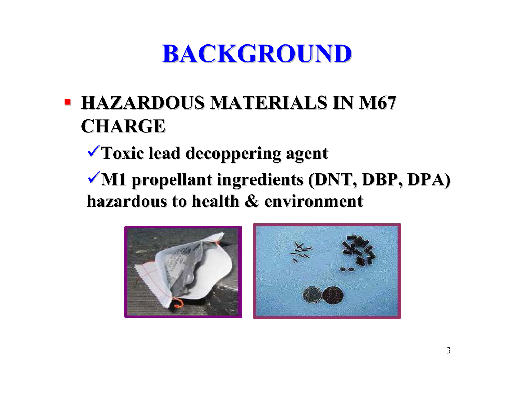# **BACKGROUND BACKGROUND**

#### **HAZARDOUS MATERIALS IN M67 CHARGE**

<sup>9</sup>**Toxic lead Toxic lead decoppering decoppering agen<sup>t</sup>**

◆ **M1** propellant ingredients (DNT, DBP, DPA) **hazardous to health & environment hazardous to health & environment**



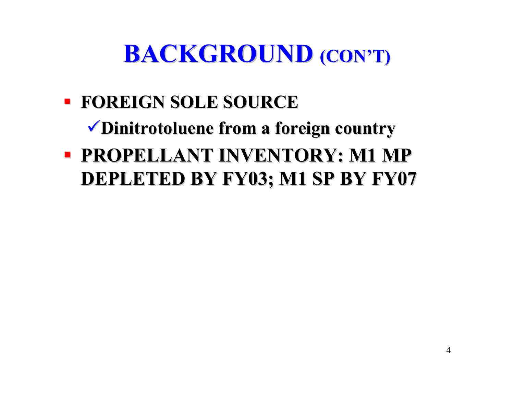# **BACKGROUND (CON'T)**

 **FOREIGN SOLE SOURCE FOREIGN SOLE SOURCE**9**Dinitrotoluene Dinitrotoluene from a foreign country from a foreign country PROPELLANT INVENTORY: M1 MP DEPLETED BY FY03; M1 SP BY FY07 DEPLETED BY FY03; M1 SP BY FY07**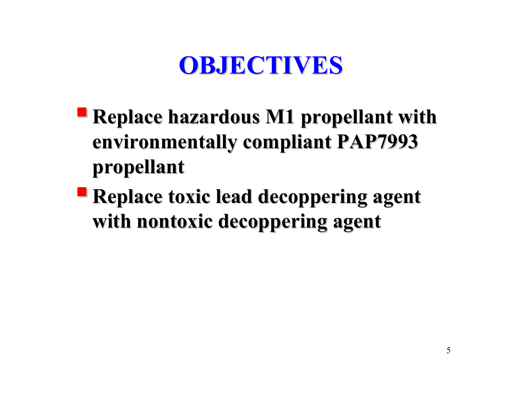### **OBJECTIVES OBJECTIVES**

- **P** Replace hazardous M1 propellant with **environmentally compliant PAP7993 environmentally compliant PAP7993 propellant propellant**
- **P** Replace toxic lead decoppering agent **with nontoxic decoppering agent**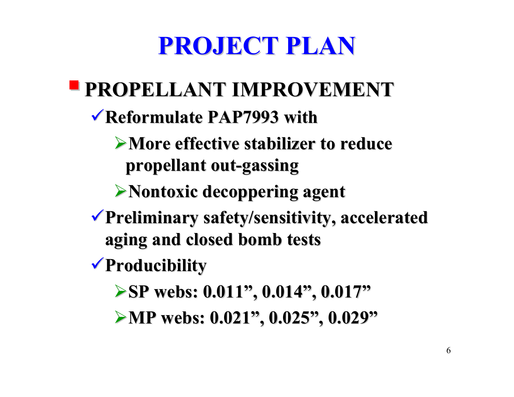### **PROJECT PLAN PROJECT PLAN**

## **PROPELLANT IMPROVEMENT PROPELLANT IMPROVEMENT**

**Reformulate PAP7993 with Reformulate PAP7993 with**

#### **More effective stabilizer to reduce More effective stabilizer to reduce propellant out propellant out-gassing gassing**

**Nontoxic Nontoxic decoppering decoppering agen<sup>t</sup>**

- **Preliminary safety/sensitivity, accelerated Preliminary safety/sensitivity, accelerated aging and closed bomb tests aging and closed bomb tests**
- **Producibility Producibility**
	- **SP webs: 0.011", 0.014", 0.017" SP webs: 0.011", 0.014", 0.017"**

**MP webs: 0.021", 0.025", 0.029" MP webs: 0.021", 0.025", 0.029"**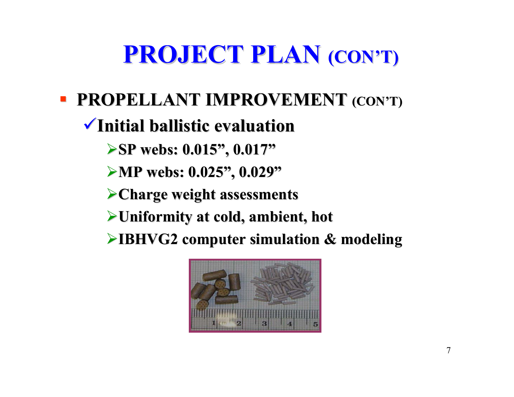# **PROJECT PLAN PROJECT PLAN (CON'T) (CON'T)**

**PROPELLANT IMPROVEMENT (CON'T)** 

#### **Initial ballistic evaluation Initial ballistic evaluation**

- **SP webs: 0.015", 0.017" SP webs: 0.015", 0.017"**
- **MP webs: 0.025", 0.029" MP webs: 0.025", 0.029"**
- **Charge weight assessments Charge weight assessments**
- **Uniformity at cold, ambient, hot Uniformity at cold, ambient, hot**
- **IBHVG2 computer simulation & modeling IBHVG2 computer simulation & modeling**

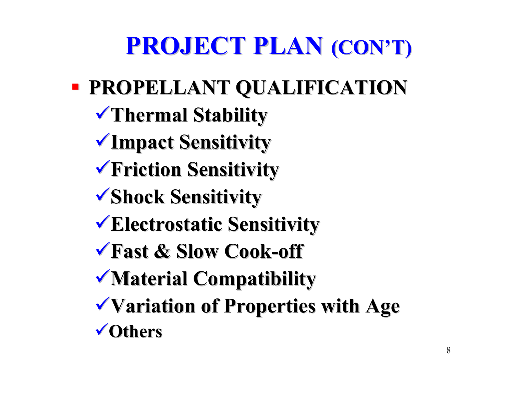### **PROJECT PLAN PROJECT PLAN (CON'T) (CON'T)**

### **PROPELLANT QUALIFICATION PROPELLANT QUALIFICATION**

- **Thermal Stability Thermal Stability**
- **Impact Sensitivity Impact Sensitivity**
- **Friction Sensitivity Friction Sensitivity**
- **Shock Sensitivity Shock Sensitivity**
- **Electrostatic Sensitivity Electrostatic Sensitivity**
- **Fast & Slow Cook Fast & Slow Cook-off**
- **Material Compatibility Material Compatibility**
- **Variation of Properties with Age Variation of Properties with Age Others**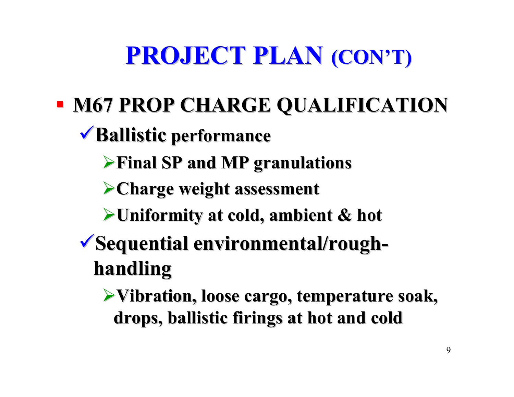# **PROJECT PLAN PROJECT PLAN (CON'T) (CON'T)**

 $\blacksquare$  **M67 PROP CHARGE QUALIFICATION** 

### 9**Ballistic Ballistic performance performance**

- ¾**Final SP and MP granulations Final SP and MP granulations**
- ¾**Charge weight assessment Charge weight assessment**
- ¾**Uniformity at cold, ambient & hot Uniformity at cold, ambient & hot**

#### <sup>9</sup>**Sequential environmental/rough Sequential environmental/rough handling handling**

**≻Vibration, loose cargo, temperature soak, drops, ballistic firings at hot and cold drops, ballistic firings at hot and cold**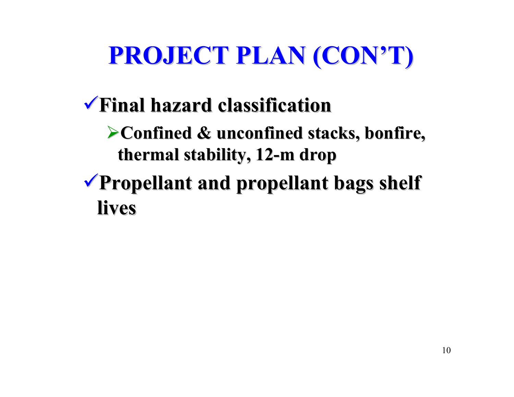# **PROJECT PLAN (CON'T) PROJECT PLAN (CON'T)**

### 9**Final hazard classification Final hazard classification**

- ¾**Confined & unconfined stacks, bonfire, Confined & unconfined stacks, bonfire, thermal stability, 12 thermal stability, 12-m drop**
- <sup>9</sup>**Propellant and propellant bags shelf Propellant and propellant bags shelf lives**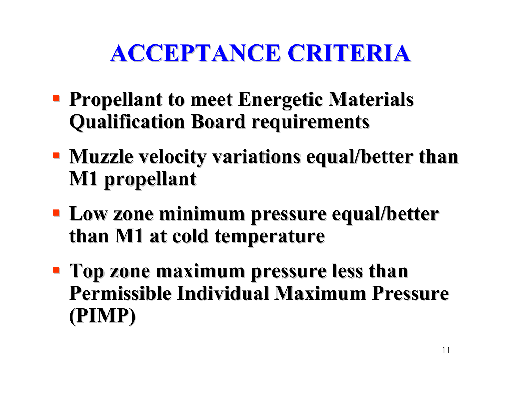### **ACCEPTANCE CRITERIA ACCEPTANCE CRITERIA**

- **Propellant to meet Energetic Materials Qualification Board requirements Qualification Board requirements**
- **Muzzle velocity variations equal/better than M1 propellant M1 propellant**
- **Low zone minimum pressure equal/better than M1 at cold temperature than M1 at cold temperature**
- **Top zone maximum pressure less than Permissible Individual Maximum Pressure (PIMP)**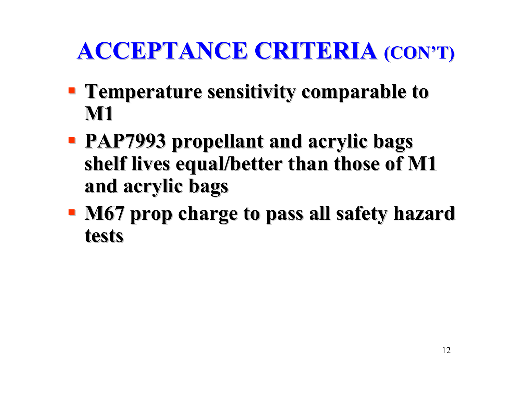# **ACCEPTANCE CRITERIA ACCEPTANCE CRITERIA (CON'T) (CON'T)**

- **Temperature sensitivity comparable to Temperature sensitivity comparable to M1**
- **PAP7993 propellant and acrylic bags PAP7993 propellant and acrylic bags**  shelf lives equal/better than those of M1 **and acrylic bags and acrylic bags**
- **M67 prop charge to pass all safety hazard tests**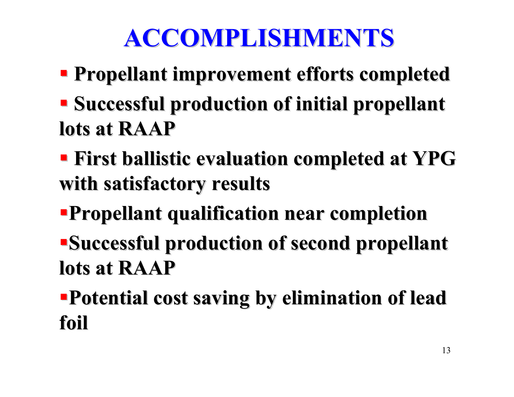# **ACCOMPLISHMENTS ACCOMPLISHMENTS**

- **Propellant improvement efforts completed Propellant improvement efforts completed**
- **Successful production of initial propellant lots at RAAP lots at RAAP**
- **First ballistic evaluation completed at YPG with satisfactory results with satisfactory results**
- **Propellant qualification near completion Propellant qualification near completion**
- **Successful production of second propellant lots at RAAP lots at RAAP**
- **Potential cost saving by elimination of lead Potential cost saving by elimination of lead foil**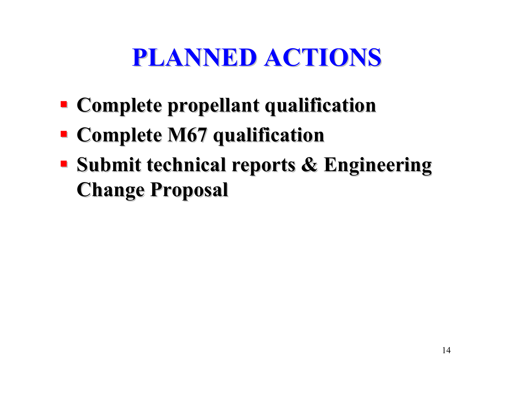# **PLANNED ACTIONS PLANNED ACTIONS**

- **Examplete propellant qualification**
- **Examplete M67 qualification**
- **Submit technical reports & Engineering Change Proposal Change Proposal**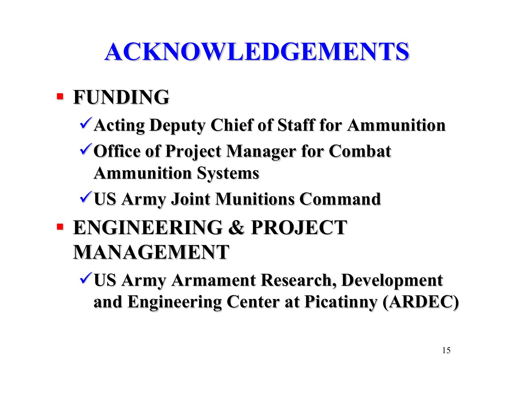# **ACKNOWLEDGEMENTS ACKNOWLEDGEMENTS**

### **FUNDING FUNDING**

- **Acting Deputy Chief of Staff for Ammunition**
- **V** Office of Project Manager for Combat **Ammunition Systems Ammunition Systems**
- <sup>9</sup>**US Army Joint Munitions Command US Army Joint Munitions Command**
- **ENGINEERING & PROJECT MANAGEMENT MANAGEMENT**

<sup>9</sup>**US Army Armament Research, Development US Army Armament Research, Development and Engineering Center at Picatinny (ARDEC)**